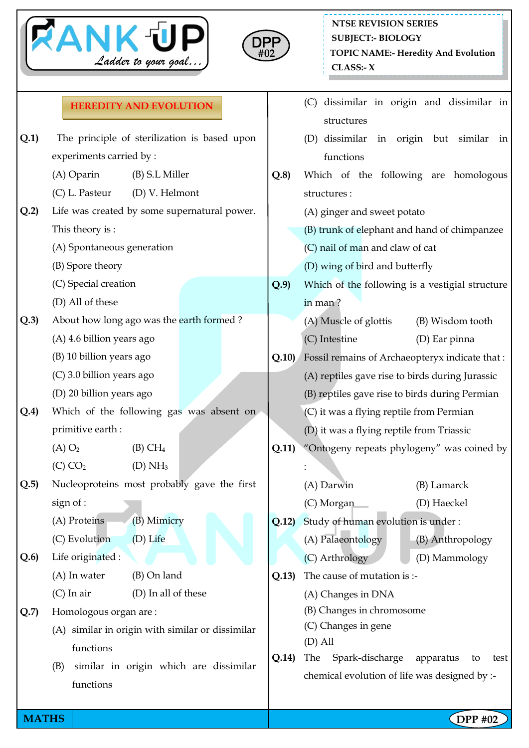



## **NTSE REVISION SERIES TOPIC NAME:- Heredity And Evolution CLASS:- X SUBJECT:- BIOLOGY**

## **HEREDITY AND EVOLUTION**

|              | <b>HEREDITY AND EVOLUTION</b>                                                                                                                              |       | dissimilar in origin and dissimilar in<br>(C)                                                                                                                                                                                      |  |  |
|--------------|------------------------------------------------------------------------------------------------------------------------------------------------------------|-------|------------------------------------------------------------------------------------------------------------------------------------------------------------------------------------------------------------------------------------|--|--|
| Q.1)         | The principle of sterilization is based upon<br>experiments carried by:                                                                                    |       | structures<br>(D) dissimilar in origin but<br>similar<br>in<br>functions                                                                                                                                                           |  |  |
| Q.2          | (B) S.L Miller<br>(A) Oparin<br>(C) L. Pasteur<br>(D) V. Helmont<br>Life was created by some supernatural power.                                           | Q.8   | Which of the following are homologous<br>structures:<br>(A) ginger and sweet potato                                                                                                                                                |  |  |
|              | This theory is :<br>(A) Spontaneous generation<br>(B) Spore theory                                                                                         |       | (B) trunk of elephant and hand of chimpanzee<br>(C) nail of man and claw of cat<br>(D) wing of bird and butterfly                                                                                                                  |  |  |
|              | (C) Special creation<br>(D) All of these                                                                                                                   | Q.9   | Which of the following is a vestigial structure<br>in man?                                                                                                                                                                         |  |  |
| Q.3)         | About how long ago was the earth formed?<br>(A) 4.6 billion years ago<br>(B) 10 billion years ago<br>(C) 3.0 billion years ago<br>(D) 20 billion years ago | Q.10) | (A) Muscle of glottis<br>(B) Wisdom tooth<br>(C) Intestine<br>(D) Ear pinna<br>Fossil remains of Archaeopteryx indicate that:<br>(A) reptiles gave rise to birds during Jurassic<br>(B) reptiles gave rise to birds during Permian |  |  |
| Q.4)         | Which of the following gas was absent on<br>primitive earth:<br>$(A)$ $O2$<br>$(B)$ CH <sub>4</sub><br>$(C)$ $CO2$<br>(D) NH <sub>3</sub>                  | Q.11) | (C) it was a flying reptile from Permian<br>(D) it was a flying reptile from Triassic<br>"Ontogeny repeats phylogeny" was coined by                                                                                                |  |  |
| Q.5)         | Nucleoproteins most probably gave the first<br>sign of :<br>(B) Mimicry<br>(A) Proteins<br>(C) Evolution<br>(D) Life                                       | Q.12  | (A) Darwin<br>(B) Lamarck<br>(D) Haeckel<br>(C) Morgan<br>Study of human evolution is under:<br>(A) Palaeontology<br>(B) Anthropology                                                                                              |  |  |
| Q.6)         | Life originated :<br>(A) In water<br>(B) On land<br>$(C)$ In air<br>(D) In all of these                                                                    | Q.13) | (C) Arthrology<br>(D) Mammology<br>The cause of mutation is :-<br>(A) Changes in DNA                                                                                                                                               |  |  |
| Q.7)         | Homologous organ are:<br>(A) similar in origin with similar or dissimilar<br>functions<br>similar in origin which are dissimilar<br>(B)<br>functions       | Q.14) | (B) Changes in chromosome<br>(C) Changes in gene<br>$(D)$ All<br>Spark-discharge<br>The<br>apparatus<br>to<br>test<br>chemical evolution of life was designed by :-                                                                |  |  |
| <b>MATHS</b> |                                                                                                                                                            |       | $\Omega$ = PP #02                                                                                                                                                                                                                  |  |  |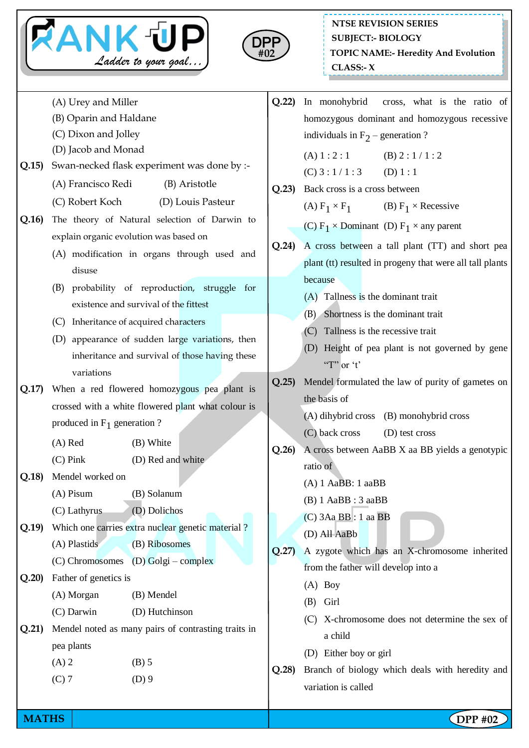



(A) Urey and Miller (B) Oparin and Haldane (C) Dixon and Jolley (D) Jacob and Monad **Q.15)** Swan-necked flask experiment was done by :- (A) Francisco Redi (B) Aristotle (C) Robert Koch (D) Louis Pasteur **Q.16)** The theory of Natural selection of Darwin to explain organic evolution was based on (A) modification in organs through used and disuse (B) probability of reproduction, struggle for existence and survival of the fittest (C) Inheritance of acquired characters (D) appearance of sudden large variations, then inheritance and survival of those having these variations **Q.17)** When a red flowered homozygous pea plant is crossed with a white flowered plant what colour is produced in  $F_1$  generation ? (A) Red (B) White (C) Pink (D) Red and white **Q.18)** Mendel worked on (A) Pisum (B) Solanum (C) Lathyrus (D) Dolichos **Q.19)** Which one carries extra nuclear genetic material ? (A) Plastids (B) Ribosomes (C) Chromosomes (D) Golgi – complex **Q.20)** Father of genetics is (A) Morgan (B) Mendel (C) Darwin (D) Hutchinson **Q.21)** Mendel noted as many pairs of contrasting traits in pea plants  $(A) 2$  (B) 5  $(C) 7$  (D) 9 **Q.22)** In monohybrid cross, what is the ratio of homozygous dominant and homozygous recessive individuals in  $F_2$  – generation ? (A)  $1:2:1$  (B)  $2:1/1:2$  $(C) 3 : 1/1 : 3$  (D) 1 : 1 **Q.23)** Back cross is a cross between (A)  $F_1 \times F_1$ (B)  $F_1 \times$  Recessive (C)  $F_1 \times$  Dominant (D)  $F_1 \times$  any parent **Q.24)** A cross between a tall plant (TT) and short pea plant (tt) resulted in progeny that were all tall plants because (A) Tallness is the dominant trait (B) Shortness is the dominant trait (C) Tallness is the recessive trait (D) Height of pea plant is not governed by gene "T" or 't" **Q.25)** Mendel formulated the law of purity of gametes on the basis of (A) dihybrid cross (B) monohybrid cross (C) back cross (D) test cross **Q.26)** A cross between AaBB X aa BB yields a genotypic ratio of (A) 1 AaBB: 1 aaBB (B) 1 AaBB : 3 aaBB (C) 3Aa BB : 1 aa BB (D) All AaBb **Q.27)** A zygote which has an X-chromosome inherited from the father will develop into a (A) Boy (B) Girl (C) X-chromosome does not determine the sex of a child (D) Either boy or girl **Q.28)** Branch of biology which deals with heredity and variation is called

**MATHS NATHS Example 2 CDPP** #02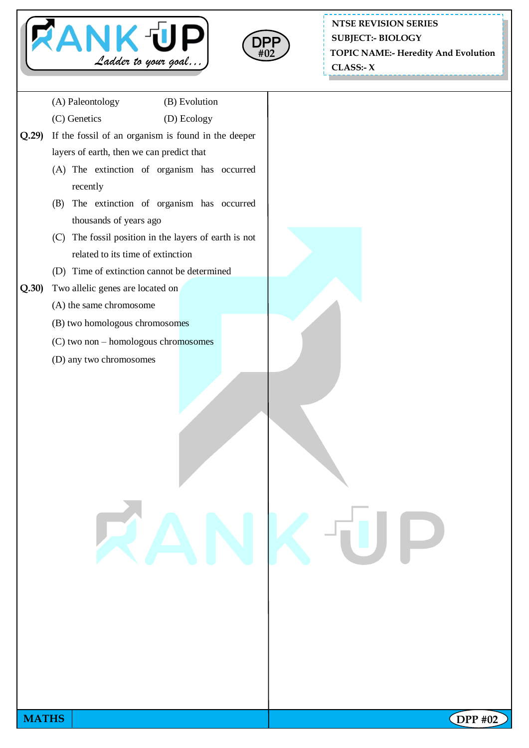



**NTSE REVISION SERIES SUBJECT:- BIOLOGY**

**TOPIC NAME:- Heredity And Evolution**

 **CLASS:- X**

| (A) Paleontology<br>(B) Evolution<br>(C) Genetics<br>(D) Ecology<br>If the fossil of an organism is found in the deeper<br>Q.29<br>layers of earth, then we can predict that<br>(A) The extinction of organism has occurred<br>recently<br>(B) The extinction of organism has occurred<br>thousands of years ago<br>(C) The fossil position in the layers of earth is not<br>related to its time of extinction<br>(D) Time of extinction cannot be determined<br>Q.30<br>Two allelic genes are located on<br>(A) the same chromosome<br>(B) two homologous chromosomes<br>(C) two non - homologous chromosomes<br>(D) any two chromosomes<br>RANKŪP |  |  |
|-----------------------------------------------------------------------------------------------------------------------------------------------------------------------------------------------------------------------------------------------------------------------------------------------------------------------------------------------------------------------------------------------------------------------------------------------------------------------------------------------------------------------------------------------------------------------------------------------------------------------------------------------------|--|--|
|                                                                                                                                                                                                                                                                                                                                                                                                                                                                                                                                                                                                                                                     |  |  |
|                                                                                                                                                                                                                                                                                                                                                                                                                                                                                                                                                                                                                                                     |  |  |
|                                                                                                                                                                                                                                                                                                                                                                                                                                                                                                                                                                                                                                                     |  |  |
|                                                                                                                                                                                                                                                                                                                                                                                                                                                                                                                                                                                                                                                     |  |  |
|                                                                                                                                                                                                                                                                                                                                                                                                                                                                                                                                                                                                                                                     |  |  |
|                                                                                                                                                                                                                                                                                                                                                                                                                                                                                                                                                                                                                                                     |  |  |
|                                                                                                                                                                                                                                                                                                                                                                                                                                                                                                                                                                                                                                                     |  |  |
|                                                                                                                                                                                                                                                                                                                                                                                                                                                                                                                                                                                                                                                     |  |  |
|                                                                                                                                                                                                                                                                                                                                                                                                                                                                                                                                                                                                                                                     |  |  |
|                                                                                                                                                                                                                                                                                                                                                                                                                                                                                                                                                                                                                                                     |  |  |
|                                                                                                                                                                                                                                                                                                                                                                                                                                                                                                                                                                                                                                                     |  |  |
|                                                                                                                                                                                                                                                                                                                                                                                                                                                                                                                                                                                                                                                     |  |  |
|                                                                                                                                                                                                                                                                                                                                                                                                                                                                                                                                                                                                                                                     |  |  |
|                                                                                                                                                                                                                                                                                                                                                                                                                                                                                                                                                                                                                                                     |  |  |
|                                                                                                                                                                                                                                                                                                                                                                                                                                                                                                                                                                                                                                                     |  |  |
|                                                                                                                                                                                                                                                                                                                                                                                                                                                                                                                                                                                                                                                     |  |  |